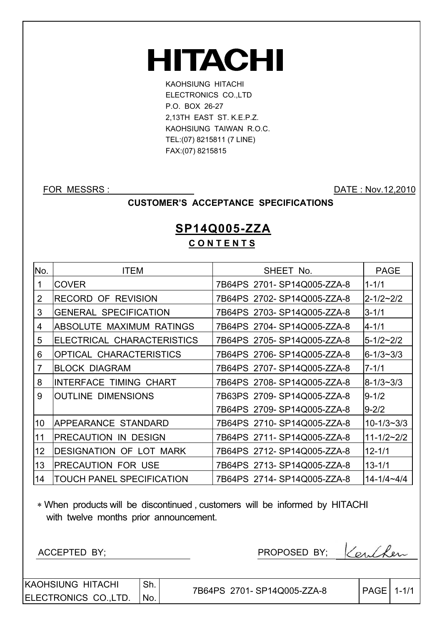# **HITACHI**

KAOHSIUNG HITACHI ELECTRONICS CO.,LTD P.O. BOX 26-27 2,13TH EAST ST. K.E.P.Z. KAOHSIUNG TAIWAN R.O.C. TEL:(07) 8215811 (7 LINE) FAX:(07) 8215815

FOR MESSRS : DATE : Nov.12,2010

#### **CUSTOMER'S ACCEPTANCE SPECIFICATIONS**

# **SP14Q005-ZZA C O N T E N T S**

| No. | <b>ITEM</b>                    | SHEET No.                  | <b>PAGE</b>        |
|-----|--------------------------------|----------------------------|--------------------|
| 1   | <b>COVER</b>                   | 7B64PS 2701-SP14Q005-ZZA-8 | $1 - 1/1$          |
| 2   | <b>RECORD OF REVISION</b>      | 7B64PS 2702-SP14Q005-ZZA-8 | $2 - 1/2 - 2/2$    |
| 3   | <b>GENERAL SPECIFICATION</b>   | 7B64PS 2703-SP14Q005-ZZA-8 | $3 - 1/1$          |
| 4   | ABSOLUTE MAXIMUM RATINGS       | 7B64PS 2704-SP14Q005-ZZA-8 | $4 - 1/1$          |
| 5   | ELECTRICAL CHARACTERISTICS     | 7B64PS 2705-SP14Q005-ZZA-8 | $5 - 1/2 \sim 2/2$ |
| 6   | <b>OPTICAL CHARACTERISTICS</b> | 7B64PS 2706-SP14Q005-ZZA-8 | $6 - 1/3 - 3/3$    |
| 7   | <b>BLOCK DIAGRAM</b>           | 7B64PS 2707-SP14Q005-ZZA-8 | $7 - 1/1$          |
| 8   | <b>INTERFACE TIMING CHART</b>  | 7B64PS 2708-SP14Q005-ZZA-8 | $8 - 1/3 - 3/3$    |
| 9   | <b>OUTLINE DIMENSIONS</b>      | 7B63PS 2709-SP14Q005-ZZA-8 | $9 - 1/2$          |
|     |                                | 7B64PS 2709-SP14Q005-ZZA-8 | $9 - 2/2$          |
| 10  | APPEARANCE STANDARD            | 7B64PS 2710-SP14Q005-ZZA-8 | $10 - 1/3 - 3/3$   |
| 11  | PRECAUTION IN DESIGN           | 7B64PS 2711-SP14Q005-ZZA-8 | $11 - 1/2 - 2/2$   |
| 12  | <b>DESIGNATION OF LOT MARK</b> | 7B64PS 2712-SP14Q005-ZZA-8 | $12 - 1/1$         |
| 13  | <b>PRECAUTION FOR USE</b>      | 7B64PS 2713-SP14Q005-ZZA-8 | $13 - 1/1$         |
| 14  | TOUCH PANEL SPECIFICATION      | 7B64PS 2714-SP14Q005-ZZA-8 | $14 - 1/4 - 4/4$   |

 When products will be discontinued , customers will be informed by HITACHI with twelve months prior announcement.

ACCEPTED BY;

| PROPOSED BY; | Kenther |
|--------------|---------|
|--------------|---------|

KAOHSIUNG HITACHI ELECTRONICS CO.,LTD. Sh. No.

| 7B64PS 2701-SP14Q005-ZZA-8 | $ PAGE  1-1/1$ |  |
|----------------------------|----------------|--|
|                            |                |  |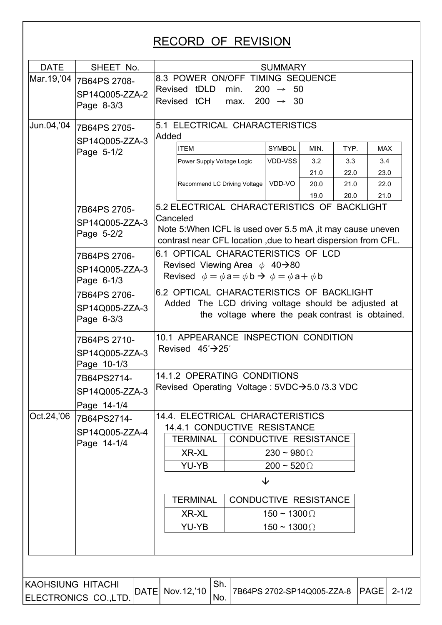# RECORD OF REVISION

| <b>DATE</b>              | SHEET No.                                     | <b>SUMMARY</b>                                                                                                                  |                                                                                                                                                                            |                                                                                                   |                            |      |      |             |           |
|--------------------------|-----------------------------------------------|---------------------------------------------------------------------------------------------------------------------------------|----------------------------------------------------------------------------------------------------------------------------------------------------------------------------|---------------------------------------------------------------------------------------------------|----------------------------|------|------|-------------|-----------|
| Mar.19, '04              | 7B64PS 2708-<br>SP14Q005-ZZA-2<br>Page 8-3/3  | 8.3 POWER ON/OFF TIMING SEQUENCE<br>Revised tDLD<br>min.<br>$200 \rightarrow 50$<br>Revised tCH<br>$200 \rightarrow 30$<br>max. |                                                                                                                                                                            |                                                                                                   |                            |      |      |             |           |
| Jun.04,'04               | 7B64PS 2705-<br>SP14Q005-ZZA-3                | Added                                                                                                                           | 5.1 ELECTRICAL CHARACTERISTICS                                                                                                                                             |                                                                                                   |                            |      |      |             |           |
|                          | Page 5-1/2                                    |                                                                                                                                 | <b>ITEM</b>                                                                                                                                                                |                                                                                                   | SYMBOL                     | MIN. | TYP. | <b>MAX</b>  |           |
|                          |                                               |                                                                                                                                 | Power Supply Voltage Logic                                                                                                                                                 |                                                                                                   | VDD-VSS                    | 3.2  | 3.3  | 3.4         |           |
|                          |                                               |                                                                                                                                 |                                                                                                                                                                            |                                                                                                   |                            | 21.0 | 22.0 | 23.0        |           |
|                          |                                               |                                                                                                                                 | Recommend LC Driving Voltage   VDD-VO                                                                                                                                      |                                                                                                   |                            | 20.0 | 21.0 | 22.0        |           |
|                          |                                               |                                                                                                                                 |                                                                                                                                                                            |                                                                                                   |                            | 19.0 | 20.0 | 21.0        |           |
|                          | 7B64PS 2705-<br>SP14Q005-ZZA-3<br>Page 5-2/2  | Canceled                                                                                                                        | 5.2 ELECTRICAL CHARACTERISTICS OF BACKLIGHT<br>Note 5: When ICFL is used over 5.5 mA, it may cause uneven<br>contrast near CFL location, due to heart dispersion from CFL. |                                                                                                   |                            |      |      |             |           |
|                          | 7B64PS 2706-<br>SP14Q005-ZZA-3<br>Page 6-1/3  |                                                                                                                                 | 6.1 OPTICAL CHARACTERISTICS OF LCD<br>Revised Viewing Area $\phi$ 40 $\rightarrow$ 80<br>Revised $\phi = \phi a = \phi b \rightarrow \phi = \phi a + \phi b$               |                                                                                                   |                            |      |      |             |           |
|                          | 7B64PS 2706-                                  |                                                                                                                                 | 6.2 OPTICAL CHARACTERISTICS OF BACKLIGHT                                                                                                                                   |                                                                                                   |                            |      |      |             |           |
|                          | SP14Q005-ZZA-3<br>Page 6-3/3                  |                                                                                                                                 | Added                                                                                                                                                                      | The LCD driving voltage should be adjusted at<br>the voltage where the peak contrast is obtained. |                            |      |      |             |           |
|                          | 7B64PS 2710-<br>SP14Q005-ZZA-3<br>Page 10-1/3 |                                                                                                                                 | 10.1 APPEARANCE INSPECTION CONDITION<br>Revised $45^{\circ}$ $\rightarrow$ 25°                                                                                             |                                                                                                   |                            |      |      |             |           |
|                          | 7B64PS2714-<br>SP14Q005-ZZA-3<br>Page 14-1/4  |                                                                                                                                 | 14.1.2 OPERATING CONDITIONS<br>Revised Operating Voltage : 5VDC→5.0 /3.3 VDC                                                                                               |                                                                                                   |                            |      |      |             |           |
| Oct.24,'06               | 7B64PS2714-                                   |                                                                                                                                 | 14.4. ELECTRICAL CHARACTERISTICS                                                                                                                                           |                                                                                                   |                            |      |      |             |           |
|                          | SP14Q005-ZZA-4                                |                                                                                                                                 | 14.4.1 CONDUCTIVE RESISTANCE                                                                                                                                               |                                                                                                   |                            |      |      |             |           |
|                          | Page 14-1/4                                   |                                                                                                                                 | <b>TERMINAL</b>                                                                                                                                                            | <b>CONDUCTIVE RESISTANCE</b>                                                                      |                            |      |      |             |           |
|                          |                                               |                                                                                                                                 | <b>XR-XL</b>                                                                                                                                                               |                                                                                                   | 230 ~ 980 $\Omega$         |      |      |             |           |
|                          |                                               |                                                                                                                                 | <b>YU-YB</b>                                                                                                                                                               |                                                                                                   | $200 \sim 520 \Omega$      |      |      |             |           |
|                          |                                               |                                                                                                                                 |                                                                                                                                                                            |                                                                                                   | ↓                          |      |      |             |           |
|                          |                                               |                                                                                                                                 | <b>TERMINAL</b>                                                                                                                                                            | <b>CONDUCTIVE RESISTANCE</b>                                                                      |                            |      |      |             |           |
|                          |                                               | <b>XR-XL</b><br>150 ~ 1300 $\Omega$                                                                                             |                                                                                                                                                                            |                                                                                                   |                            |      |      |             |           |
|                          |                                               | <b>YU-YB</b><br>150 ~ 1300 $\Omega$                                                                                             |                                                                                                                                                                            |                                                                                                   |                            |      |      |             |           |
|                          |                                               |                                                                                                                                 |                                                                                                                                                                            |                                                                                                   |                            |      |      |             |           |
|                          |                                               |                                                                                                                                 |                                                                                                                                                                            |                                                                                                   |                            |      |      |             |           |
| <b>KAOHSIUNG HITACHI</b> | DATE<br>ELECTRONICS CO., LTD.                 |                                                                                                                                 | Sh.<br>Nov. 12, '10<br>No.                                                                                                                                                 |                                                                                                   | 7B64PS 2702-SP14Q005-ZZA-8 |      |      | <b>PAGE</b> | $2 - 1/2$ |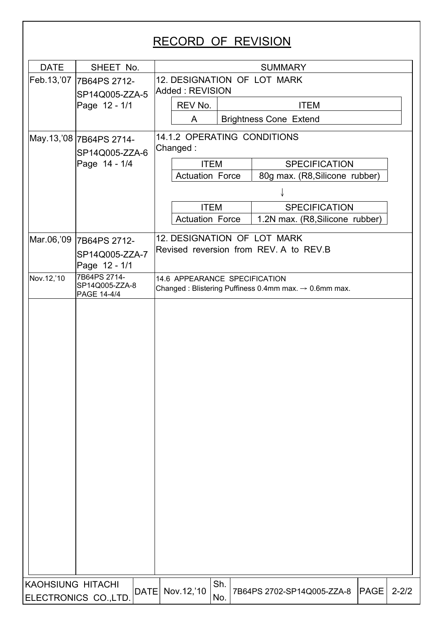# RECORD OF REVISION

| <b>DATE</b>              | SHEET No.                                     | <b>SUMMARY</b>                                 |             |                                                                   |             |           |  |  |
|--------------------------|-----------------------------------------------|------------------------------------------------|-------------|-------------------------------------------------------------------|-------------|-----------|--|--|
| Feb.13,'07               | 7B64PS 2712-<br>SP14Q005-ZZA-5                | 12. DESIGNATION OF LOT MARK<br>Added: REVISION |             |                                                                   |             |           |  |  |
|                          | Page 12 - 1/1                                 | REV No.                                        | <b>ITEM</b> |                                                                   |             |           |  |  |
|                          |                                               | A                                              |             | <b>Brightness Cone Extend</b>                                     |             |           |  |  |
|                          | May.13,'08 7B64PS 2714-                       | 14.1.2 OPERATING CONDITIONS                    |             |                                                                   |             |           |  |  |
|                          | SP14Q005-ZZA-6                                | Changed:                                       |             |                                                                   |             |           |  |  |
|                          | Page 14 - 1/4                                 | <b>ITEM</b>                                    |             | <b>SPECIFICATION</b>                                              |             |           |  |  |
|                          |                                               | <b>Actuation Force</b>                         |             | 80g max. (R8, Silicone rubber)                                    |             |           |  |  |
|                          |                                               |                                                |             |                                                                   |             |           |  |  |
|                          |                                               | <b>ITEM</b><br><b>Actuation Force</b>          |             | <b>SPECIFICATION</b>                                              |             |           |  |  |
|                          |                                               |                                                |             | 1.2N max. (R8, Silicone rubber)                                   |             |           |  |  |
| Mar.06,'09               | 7B64PS 2712-                                  | 12. DESIGNATION OF LOT MARK                    |             |                                                                   |             |           |  |  |
|                          | SP14Q005-ZZA-7<br>Page 12 - 1/1               |                                                |             | Revised reversion from REV. A to REV. B                           |             |           |  |  |
| Nov.12,'10               | 7B64PS 2714-<br>SP14Q005-ZZA-8<br>PAGE 14-4/4 | 14.6 APPEARANCE SPECIFICATION                  |             | Changed: Blistering Puffiness 0.4mm max. $\rightarrow$ 0.6mm max. |             |           |  |  |
|                          |                                               |                                                |             |                                                                   |             |           |  |  |
| <b>KAOHSIUNG HITACHI</b> | DATE<br>ELECTRONICS CO.,LTD.                  | Nov. 12, '10                                   | Sh.<br>No.  | 7B64PS 2702-SP14Q005-ZZA-8                                        | <b>PAGE</b> | $2 - 2/2$ |  |  |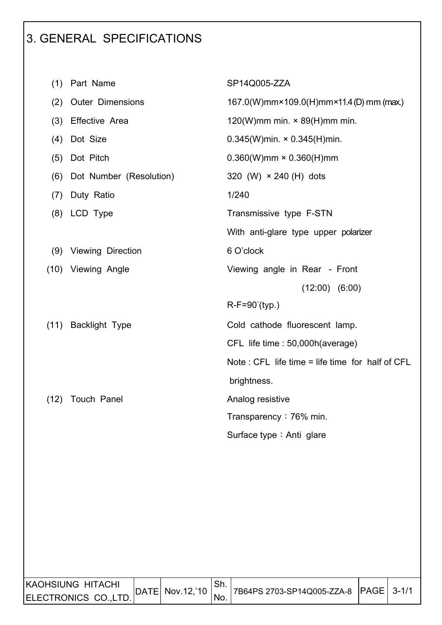# 3. GENERAL SPECIFICATIONS

I

|      | (1) Part Name           | SP14Q005-ZZA                                    |
|------|-------------------------|-------------------------------------------------|
| (2)  | <b>Outer Dimensions</b> | 167.0(W)mm×109.0(H)mm×11.4(D) mm (max.)         |
|      | (3) Effective Area      | 120(W)mm min. $\times$ 89(H)mm min.             |
| (4)  | Dot Size                | $0.345(W)$ min. $\times$ 0.345(H)min.           |
| (5)  | Dot Pitch               | $0.360(W)$ mm × 0.360(H)mm                      |
| (6)  | Dot Number (Resolution) | 320 (W) × 240 (H) dots                          |
| (7)  | Duty Ratio              | 1/240                                           |
|      | (8) LCD Type            | Transmissive type F-STN                         |
|      |                         | With anti-glare type upper polarizer            |
|      | (9) Viewing Direction   | 6 O'clock                                       |
|      | (10) Viewing Angle      | Viewing angle in Rear - Front                   |
|      |                         | $(12.00)$ $(6.00)$                              |
|      |                         | $R-F=90^{\circ}$ (typ.)                         |
|      | (11) Backlight Type     | Cold cathode fluorescent lamp.                  |
|      |                         | CFL life time : 50,000h (average)               |
|      |                         | Note: CFL life time = life time for half of CFL |
|      |                         | brightness.                                     |
| (12) | Touch Panel             | Analog resistive                                |
|      |                         | Transparency: 76% min.                          |
|      |                         | Surface type: Anti glare                        |
|      |                         |                                                 |

| IKAOHSIUNG HITACHI   |                               |      |                                       |  |
|----------------------|-------------------------------|------|---------------------------------------|--|
| ELECTRONICS CO.,LTD. | $ $ DATE $ $ Nov.12,'10 $ $ , | 'NO. | 7B64PS 2703-SP14Q005-ZZA-8 PAGE 3-1/1 |  |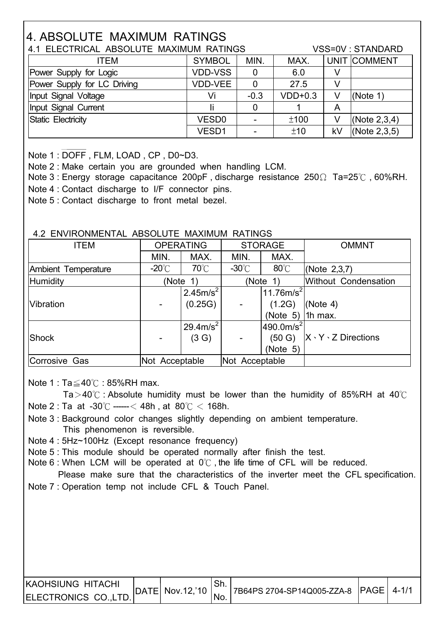# 4. ABSOLUTE MAXIMUM RATINGS

| 4.1 ELECTRICAL ABSOLUTE MAXIMUM RATINGS |                   |        |           | VSS=0V : STANDARD |                 |
|-----------------------------------------|-------------------|--------|-----------|-------------------|-----------------|
| <b>ITEM</b>                             | <b>SYMBOL</b>     | MIN.   | MAX.      |                   | UNIT COMMENT    |
| Power Supply for Logic                  | <b>VDD-VSS</b>    | 0      | 6.0       |                   |                 |
| Power Supply for LC Driving             | <b>VDD-VEE</b>    | 0      | 27.5      | V                 |                 |
| Input Signal Voltage                    | Vi                | $-0.3$ | $VDD+0.3$ | V                 | (Note 1)        |
| Input Signal Current                    |                   | 0      |           | A                 |                 |
| Static Electricity                      | VESD <sub>0</sub> |        | ±100      | V                 | (Note $2,3,4$ ) |
|                                         | VESD1             |        | ±10       | kV                | (Note $2,3,5$ ) |

Note 1 : DOFF , FLM, LOAD , CP , D0~D3.

I

Note 2 : Make certain you are grounded when handling LCM.

Note 3 : Energy storage capacitance 200pF, discharge resistance 250 $\Omega$  Ta=25°C, 60%RH. Note 4 : Contact discharge to I/F connector pins.

Note 5 : Contact discharge to front metal bezel.

#### 4.2 ENVIRONMENTAL ABSOLUTE MAXIMUM RATINGS

| <b>ITEM</b>         | <b>OPERATING</b> |                      |                 | <b>STORAGE</b>        | <b>OMMNT</b>                   |
|---------------------|------------------|----------------------|-----------------|-----------------------|--------------------------------|
|                     | MIN.             | MAX.                 | MIN.            | MAX.                  |                                |
| Ambient Temperature | $-20^{\circ}$ C  | $70^{\circ}$ C       | $-30^{\circ}$ C | $80^{\circ}$ C        | (Note $2,3,7$ )                |
| <b>Humidity</b>     |                  | (Note 1)             |                 | (Note 1)              | Without Condensation           |
|                     |                  | $12.45m/s^2$         |                 | 11.76m/s <sup>2</sup> |                                |
| Vibration           |                  | (0.25G)              |                 | (1.2G)                | (Note 4)                       |
|                     |                  |                      |                 | (Note 5)              | $1h$ max.                      |
|                     |                  | $129.4 \text{m/s}^2$ |                 | 490.0 <sup>2</sup>    |                                |
| Shock               |                  | (3 G)                |                 | (50 G)                | $X \cdot Y \cdot Z$ Directions |
|                     |                  |                      |                 | (Note 5)              |                                |
| Corrosive Gas       | Not Acceptable   |                      | Not Acceptable  |                       |                                |

Note 1 :  $Ta \leq 40^{\circ}$  : 85%RH max.

Ta $>$ 40°C : Absolute humidity must be lower than the humidity of 85%RH at 40°C Note 2 : Ta at -30°C ------ 48h, at 80°C < 168h.

 Note 3 : Background color changes slightly depending on ambient temperature. This phenomenon is reversible.

Note 4 : 5Hz~100Hz (Except resonance frequency)

Note 5 : This module should be operated normally after finish the test.

Note 6 : When LCM will be operated at  $0^{\circ}$  the life time of CFL will be reduced.

 Please make sure that the characteristics of the inverter meet the CFL specification. Note 7 : Operation temp not include CFL & Touch Panel.

| IKAOHSIUNG HITACHI   |                               |                                       |  |
|----------------------|-------------------------------|---------------------------------------|--|
| ELECTRONICS CO.,LTD. | $ $ DATE $ $ Nov.12,'10 $ $ . | 7B64PS 2704-SP14Q005-ZZA-8 PAGE 4-1/1 |  |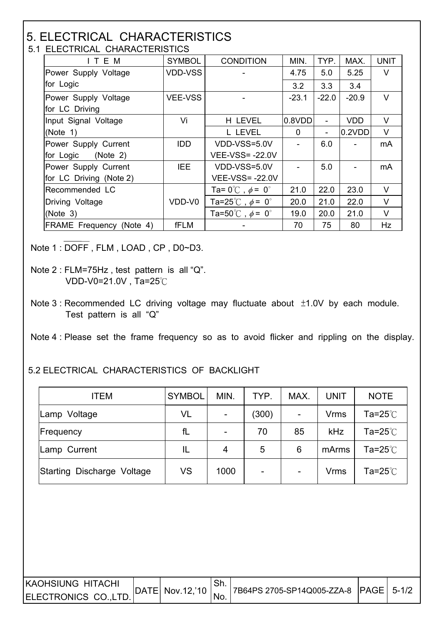#### 5. ELECTRICAL CHARACTERISTICS 5.1 ELECTRICAL CHARACTERISTICS

| T LLLUTNUAL UTANAUTLINOTIUO     |                |                                           |         |                          |            |             |  |  |
|---------------------------------|----------------|-------------------------------------------|---------|--------------------------|------------|-------------|--|--|
| ITEM                            | <b>SYMBOL</b>  | <b>CONDITION</b>                          | MIN.    | TYP.                     | MAX.       | <b>UNIT</b> |  |  |
| Power Supply Voltage            | <b>VDD-VSS</b> |                                           | 4.75    | 5.0                      | 5.25       | $\vee$      |  |  |
| for Logic                       |                |                                           | 3.2     | 3.3                      | 3.4        |             |  |  |
| Power Supply Voltage            | <b>VEE-VSS</b> |                                           | $-23.1$ | $-22.0$                  | $-20.9$    | $\vee$      |  |  |
| for LC Driving                  |                |                                           |         |                          |            |             |  |  |
| Input Signal Voltage            | Vi             | H LEVEL                                   | 0.8VDD  | $\overline{\phantom{0}}$ | <b>VDD</b> | $\vee$      |  |  |
| (Note 1)                        |                | L LEVEL                                   | 0       |                          | 0.2VDD     | V           |  |  |
| Power Supply Current            | <b>IDD</b>     | VDD-VSS=5.0V                              |         | 6.0                      |            | mA          |  |  |
| for Logic (Note 2)              |                | <b>VEE-VSS=-22.0V</b>                     |         |                          |            |             |  |  |
| Power Supply Current            | <b>IEE</b>     | VDD-VSS=5.0V                              |         | 5.0                      |            | mA          |  |  |
| for LC Driving (Note 2)         |                | <b>VEE-VSS=-22.0V</b>                     |         |                          |            |             |  |  |
| Recommended LC                  |                | Ta= $0^{\circ}$ C, $\phi$ = $0^{\circ}$   | 21.0    | 22.0                     | 23.0       | V           |  |  |
| Driving Voltage                 | VDD-V0         | Ta=25°C, $\phi$ = 0°                      | 20.0    | 21.0                     | 22.0       | $\vee$      |  |  |
| (Note 3)                        |                | Ta=50 $^{\circ}$ C, $\phi$ = 0 $^{\circ}$ | 19.0    | 20.0                     | 21.0       | V           |  |  |
| <b>FRAME Frequency (Note 4)</b> | fFLM           |                                           | 70      | 75                       | 80         | Hz          |  |  |

Note 1 : DOFF , FLM , LOAD , CP , D0~D3.

 $\overline{\phantom{a}}$ 

 $\overline{\phantom{a}}$  $\overline{\phantom{a}}$  $\overline{\phantom{a}}$  $\overline{\phantom{a}}$  Note 3 : Recommended LC driving voltage may fluctuate about  $\pm$ 1.0V by each module. Test pattern is all "Q"

Note 4 : Please set the frame frequency so as to avoid flicker and rippling on the display.

### 5.2 ELECTRICAL CHARACTERISTICS OF BACKLIGHT

| <b>ITEM</b>                | <b>SYMBOL</b> | MIN. | TYP.           | MAX.                     | <b>UNIT</b> | <b>NOTE</b> |
|----------------------------|---------------|------|----------------|--------------------------|-------------|-------------|
| Lamp Voltage               | VL            |      | (300)          | $\overline{\phantom{a}}$ | <b>Vrms</b> | Ta=25 $°C$  |
| Frequency                  | fL            |      | 70             | 85                       | <b>kHz</b>  | Ta=25 $°C$  |
| Lamp Current               | IL            | 4    | 5              | 6                        | mArms       | Ta=25 $°C$  |
| Starting Discharge Voltage | VS            | 1000 | $\blacksquare$ | $\overline{\phantom{a}}$ | <b>Vrms</b> | Ta=25 $°C$  |

| IKAOHSIUNG HITACHI   |                  |  |  |
|----------------------|------------------|--|--|
| ELECTRONICS CO.,LTD. | DATE  Nov.12,'10 |  |  |

Note 2 : FLM=75Hz , test pattern is all "Q". VDD-V0=21.0V, Ta=25 $\degree$ C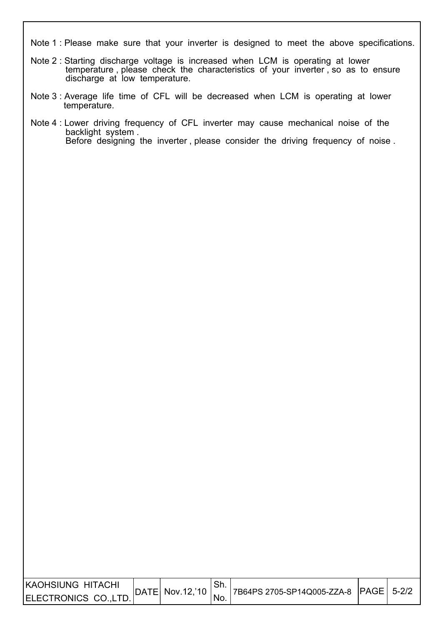- Note 1 : Please make sure that your inverter is designed to meet the above specifications.
- Note 2 : Starting discharge voltage is increased when LCM is operating at lower temperature, please check the characteristics of your inverter, so as to ensure discharge at low temperature.
- Note 3 : Average life time of CFL will be decreased when LCM is operating at lower temperature.

 $\overline{\phantom{a}}$ 

 $\overline{\phantom{a}}$ 

 Note 4 : Lower driving frequency of CFL inverter may cause mechanical noise of the backlight system . Before designing the inverter , please consider the driving frequency of noise .

| KAOHSIUNG HITACHI     | DATE  Nov.12,'10 |     | 17B64PS 2705-SP14Q005-ZZA-8   PAGE   5-2/2 |  |
|-----------------------|------------------|-----|--------------------------------------------|--|
| ELECTRONICS CO., LTD. |                  | NO. |                                            |  |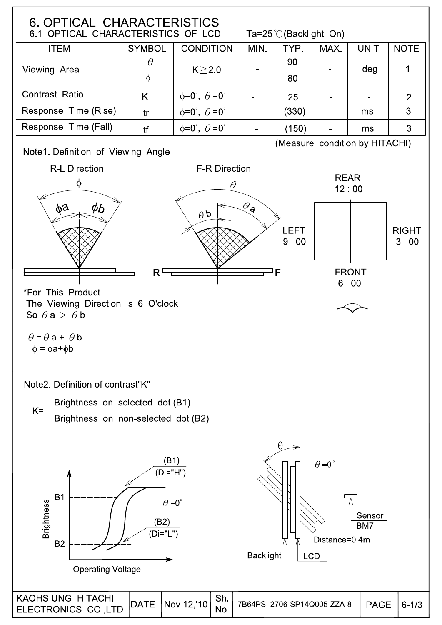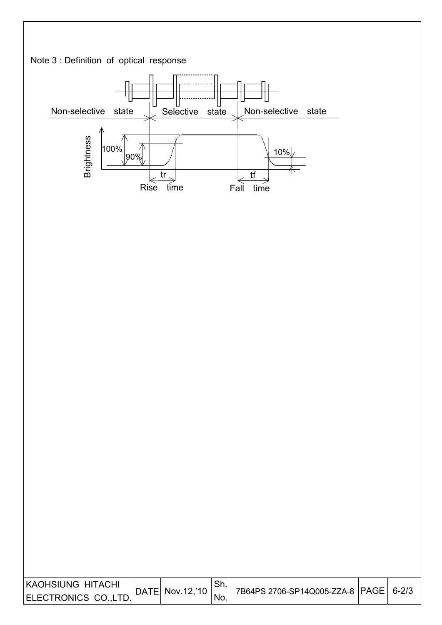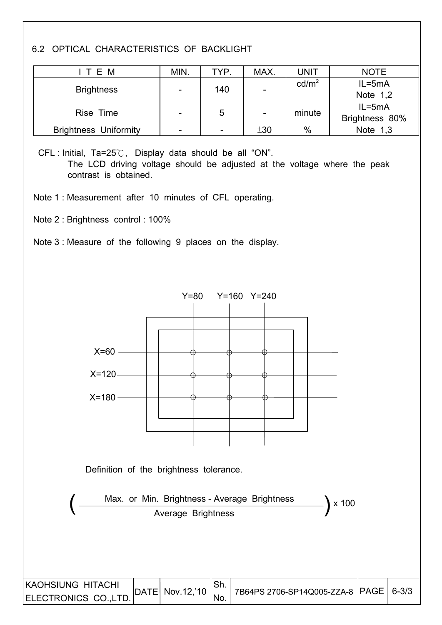#### 6.2 OPTICAL CHARACTERISTICS OF BACKLIGHT

| ITEM                         | MIN.                            | TYP. | MAX. | <b>UNIT</b>       | <b>NOTE</b>    |
|------------------------------|---------------------------------|------|------|-------------------|----------------|
|                              |                                 |      |      | cd/m <sup>2</sup> | $IL = 5mA$     |
| <b>Brightness</b>            | 140<br>$\overline{\phantom{a}}$ |      |      |                   | Note 1,2       |
| Rise Time                    |                                 | 5    |      |                   | $IL = 5mA$     |
|                              |                                 |      |      | minute            | Brightness 80% |
| <b>Brightness Uniformity</b> |                                 |      | ±30  | $\%$              | Note $1,3$     |

CFL : Initial,  $Ta=25^\circ\text{C}$ , Display data should be all "ON". The LCD driving voltage should be adjusted at the voltage where the peak contrast is obtained.

Note 1 : Measurement after 10 minutes of CFL operating.

Note 2 : Brightness control : 100%

Note 3 : Measure of the following 9 places on the display.

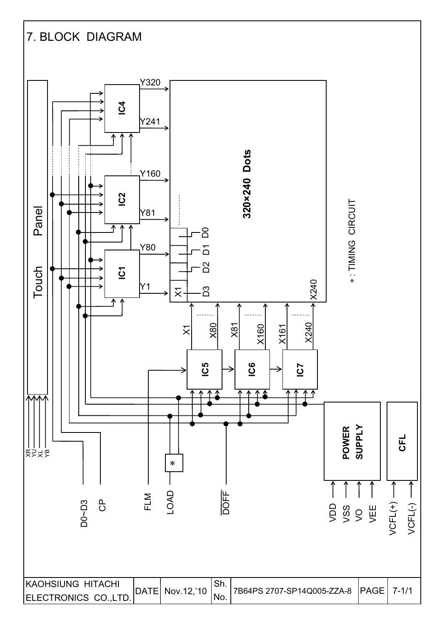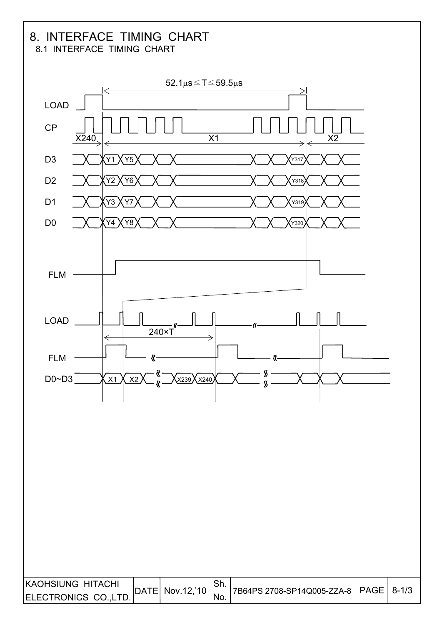# 8. INTERFACE TIMING CHART

8.1 INTERFACE TIMING CHART

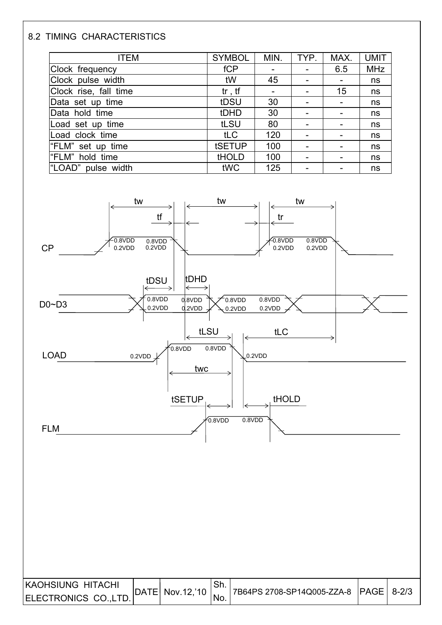### 8.2 TIMING CHARACTERISTICS

 $\overline{\phantom{a}}$ 

| <b>ITEM</b>           | <b>SYMBOL</b> | MIN. | TYP.                     | MAX. | <b>UMIT</b> |
|-----------------------|---------------|------|--------------------------|------|-------------|
| Clock frequency       | fCP           |      | Ξ.                       | 6.5  | <b>MHz</b>  |
| Clock pulse width     | tW            | 45   |                          |      | ns          |
| Clock rise, fall time | $tr$ , $tf$   |      |                          | 15   | ns          |
| Data set up time      | tDSU          | 30   | $\overline{\phantom{a}}$ |      | ns          |
| Data hold time        | tDHD          | 30   | -                        |      | ns          |
| Load set up time      | tLSU          | 80   |                          |      | ns          |
| Load clock time       | tLC           | 120  |                          |      | ns          |
| "FLM" set up time     | tSETUP        | 100  | -                        |      | ns          |
| "FLM" hold time       | <b>tHOLD</b>  | 100  | ۰.                       |      | ns          |
| "LOAD" pulse width    | tWC           | 125  |                          |      | ns          |



| IKAOHSIUNG HITACHI<br> ELECTRONICS CO.,LTD. | $ $ DATE $ $ Nov.12, 10 $ $ | `Sh.<br>'No. | 7B64PS 2708-SP14Q005-ZZA-8 PAGE   8-2/3 |  |
|---------------------------------------------|-----------------------------|--------------|-----------------------------------------|--|
|                                             |                             |              |                                         |  |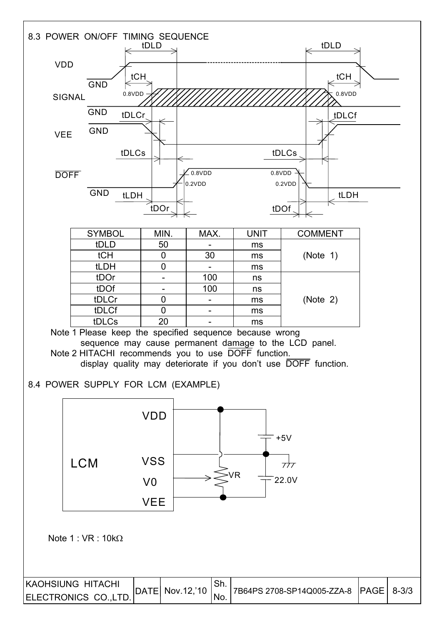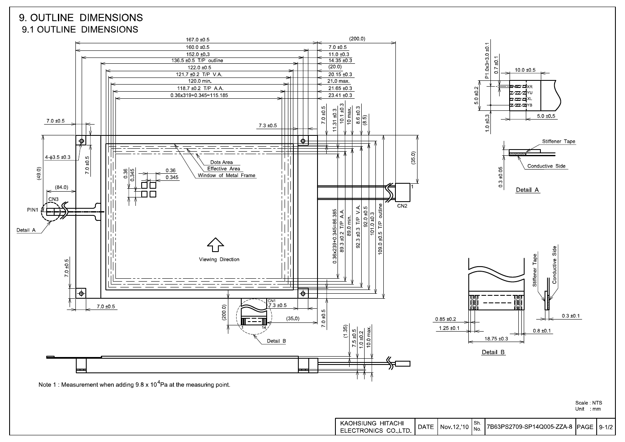### 9. OUTLINE DIMENSIONS 9.1 OUTLINE DIMENSIONS

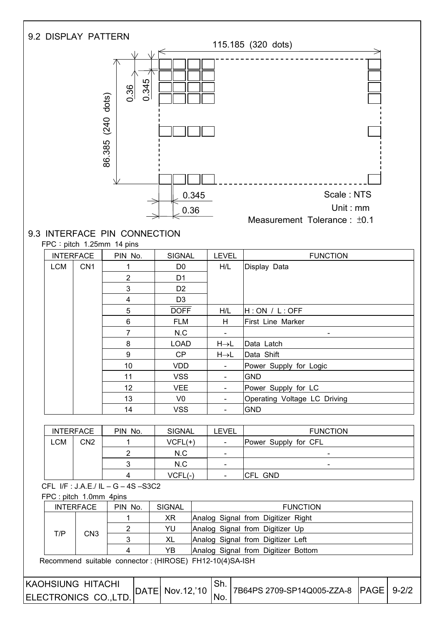

#### 9.3 INTERFACE PIN CONNECTION  $FPC:$  pitch 1.25mm 14 pins

|            | <b>INTERFACE</b> | PIN No.        | <b>SIGNAL</b>  | <b>LEVEL</b>             | <b>FUNCTION</b>              |
|------------|------------------|----------------|----------------|--------------------------|------------------------------|
| <b>LCM</b> | CN <sub>1</sub>  |                | D0             | H/L                      | Display Data                 |
|            |                  | $\overline{2}$ | D1             |                          |                              |
|            |                  | 3              | D <sub>2</sub> |                          |                              |
|            |                  | 4              | D <sub>3</sub> |                          |                              |
|            |                  | 5              | <b>DOFF</b>    | H/L                      | H:ON / L:OFF                 |
|            |                  | 6              | <b>FLM</b>     | H.                       | First Line Marker            |
|            |                  | 7              | N.C            | $\overline{\phantom{a}}$ |                              |
|            |                  | 8              | <b>LOAD</b>    | $H\rightarrow L$         | Data Latch                   |
|            |                  | 9              | CP.            | $H\rightarrow L$         | Data Shift                   |
|            |                  | 10             | <b>VDD</b>     | $\overline{\phantom{a}}$ | Power Supply for Logic       |
|            |                  | 11             | <b>VSS</b>     |                          | <b>GND</b>                   |
|            |                  | 12             | <b>VEE</b>     | $\overline{\phantom{a}}$ | Power Supply for LC          |
|            |                  | 13             | V <sub>0</sub> | $\overline{\phantom{a}}$ | Operating Voltage LC Driving |
|            |                  | 14             | <b>VSS</b>     | -                        | <b>GND</b>                   |

| <b>INTERFACE</b> |                 | PIN No. | SIGNAL    | LEVEL                        | <b>FUNCTION</b>          |  |  |
|------------------|-----------------|---------|-----------|------------------------------|--------------------------|--|--|
| LCM              | CN <sub>2</sub> |         | $VCFL(+)$ | $\overline{\phantom{a}}$     | Power Supply for CFL     |  |  |
|                  |                 |         | N.C       | $\qquad \qquad$              | $\overline{\phantom{0}}$ |  |  |
|                  |                 |         | N.C       | $\qquad \qquad$              | $\overline{\phantom{0}}$ |  |  |
|                  |                 |         | $VCFL(-)$ | $\qquad \qquad \blacksquare$ | <b>CFL GND</b>           |  |  |

CFL I/F : J.A.E./ IL – G – 4S –S3C2

FPC : pitch 1.0mm 4pins

I

 $\overline{\phantom{a}}$ 

|     | <b>INTERFACE</b> | PIN No. | SIGNAL | <b>FUNCTION</b>                     |
|-----|------------------|---------|--------|-------------------------------------|
|     |                  |         | ХR     | Analog Signal from Digitizer Right  |
|     |                  |         | YU     | Analog Signal from Digitizer Up     |
| T/P | CN <sub>3</sub>  |         | XL     | Analog Signal from Digitizer Left   |
|     |                  |         | YΒ     | Analog Signal from Digitizer Bottom |
|     |                  |         |        |                                     |

Recommend suitable connector : (HIROSE) FH12-10(4)SA-ISH

| <b>IKAOHSIUNG HITACHI</b> | DATE  Nov.12,'10 |      | 17B64PS 2709-SP14Q005-ZZA-8 PAGE 9-2/2 |  |
|---------------------------|------------------|------|----------------------------------------|--|
| ELECTRONICS CO., LTD.     |                  | 'NO. |                                        |  |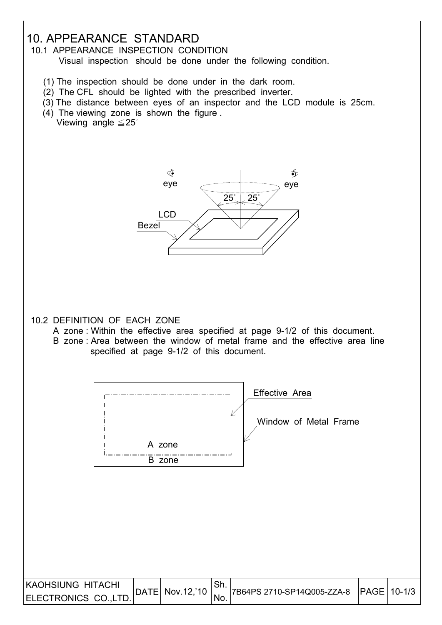# 10. APPEARANCE STANDARD

 10.1 APPEARANCE INSPECTION CONDITION Visual inspection should be done under the following condition.

- 
- (1) The inspection should be done under in the dark room.
- (2) The CFL should be lighted with the prescribed inverter.
- (3) The distance between eyes of an inspector and the LCD module is 25cm.
- (4) The viewing zone is shown the figure . Viewing angle  $\leq$  25 $\degree$

I



#### 10.2 DEFINITION OF EACH ZONE

- A zone : Within the effective area specified at page 9-1/2 of this document.
- B zone : Area between the window of metal frame and the effective area line specified at page 9-1/2 of this document.

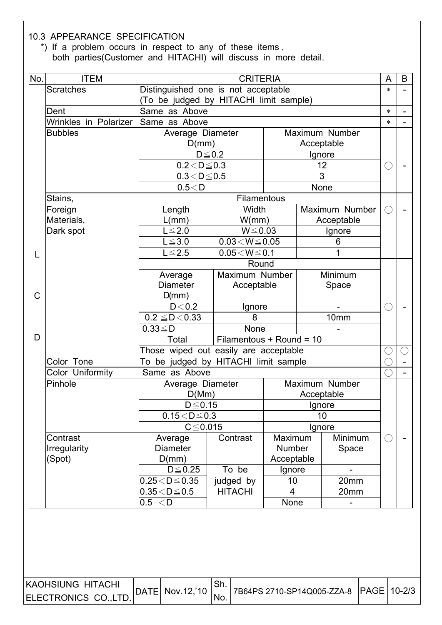#### 10.3 APPEARANCE SPECIFICATION

I

 \*) If a problem occurs in respect to any of these items , both parties(Customer and HITACHI) will discuss in more detail.

| No. | <b>ITEM</b>           | <b>CRITERIA</b>                        |                          |               |            |                          |                 | B                        |
|-----|-----------------------|----------------------------------------|--------------------------|---------------|------------|--------------------------|-----------------|--------------------------|
|     | <b>Scratches</b>      | Distinguished one is not acceptable    |                          |               |            |                          | $\ast$          |                          |
|     |                       | (To be judged by HITACHI limit sample) |                          |               |            |                          |                 |                          |
|     | Dent                  | Same as Above                          |                          |               |            |                          |                 |                          |
|     | Wrinkles in Polarizer | Same as Above                          |                          |               |            |                          | $\ast$          |                          |
|     | <b>Bubbles</b>        | Average Diameter                       |                          |               |            | Maximum Number           |                 |                          |
|     |                       | D(mm)                                  |                          |               | Acceptable |                          |                 |                          |
|     |                       |                                        | $D \leq 0.2$             |               | Ignore     |                          |                 |                          |
|     |                       | $0.2 < D \le 0.3$                      |                          |               | 12         |                          | $(\phantom{a})$ |                          |
|     |                       | $0.3 < D \le 0.5$                      |                          |               | 3          |                          |                 |                          |
|     |                       | 0.5 < D                                |                          |               | None       |                          |                 |                          |
|     | Stains,               |                                        | Filamentous              |               |            |                          |                 |                          |
|     | Foreign               | Length                                 | Width                    |               |            | Maximum Number           | ◯               |                          |
|     | Materials,            | L/mm)                                  | W/mm)                    |               |            | Acceptable               |                 |                          |
|     | Dark spot             | $L \leq 2.0$                           | $W \le 0.03$             |               |            | Ignore                   |                 |                          |
|     |                       | $L \leq 3.0$                           | $0.03\!<\!W\!\leq\!0.05$ |               |            | 6                        |                 |                          |
| L   |                       | $L \le 2.5$                            | $0.05\!<\!W\!\leq\!0.1$  |               |            | 1                        |                 |                          |
|     |                       |                                        | Round                    |               |            |                          |                 |                          |
|     |                       | Average                                | Maximum Number           |               |            | Minimum                  |                 |                          |
|     |                       | <b>Diameter</b>                        | Acceptable               |               |            | Space                    |                 |                          |
| C   |                       | D(mm)                                  |                          |               |            |                          |                 |                          |
|     |                       | D < 0.2                                | Ignore                   |               |            |                          | ◯               |                          |
|     |                       | $0.2 \leq D < 0.33$                    | 8                        |               |            | 10mm                     |                 |                          |
|     |                       | $0.33 \leq D$                          | None                     |               |            |                          |                 |                          |
| D   |                       | Total                                  | Filamentous + Round = 10 |               |            |                          |                 |                          |
|     |                       | Those wiped out easily are acceptable  |                          |               |            |                          |                 |                          |
|     | Color Tone            | To be judged by HITACHI limit sample   |                          |               |            |                          |                 | $\overline{\phantom{a}}$ |
|     | Color Uniformity      | Same as Above                          |                          |               |            |                          |                 |                          |
|     | Pinhole               | Average Diameter                       |                          |               |            | Maximum Number           |                 |                          |
|     |                       | D(Mm)                                  |                          |               | Acceptable |                          |                 |                          |
|     |                       | $D \leq 0.15$                          |                          |               | Ignore     |                          |                 |                          |
|     |                       | $0.15 < D \le 0.3$                     |                          |               | 10         |                          |                 |                          |
|     |                       | $C \leq 0.015$                         |                          |               | Ignore     |                          |                 |                          |
|     | Contrast              | Average                                | Contrast                 | Maximum       |            | Minimum                  | $(\quad)$       |                          |
|     |                       |                                        |                          |               |            |                          |                 |                          |
|     | <b>Irregularity</b>   | <b>Diameter</b>                        |                          | <b>Number</b> |            | Space                    |                 |                          |
|     | (Spot)                | D(mm)                                  |                          | Acceptable    |            |                          |                 |                          |
|     |                       | $D \leq 0.25$                          | To be                    | Ignore        |            | $\overline{\phantom{0}}$ |                 |                          |
|     |                       | $0.25\!<\!D\!\leq\!0.35$               | judged by                | 10            |            | 20mm                     |                 |                          |
|     |                       | $0.35\!<\!D\!\leq\!0.5$<br>0.5 < D     | <b>HITACHI</b>           | 4             |            | 20mm                     |                 |                          |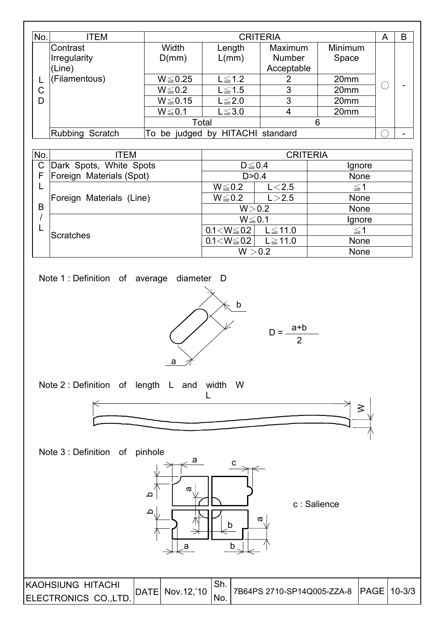| No. | ITEM                               | <b>CRITERIA</b>                        |                 |                                               |                         |  |  |
|-----|------------------------------------|----------------------------------------|-----------------|-----------------------------------------------|-------------------------|--|--|
|     | Contrast<br>Irregularity<br>(Line) | Width<br>D(mm)                         | Length<br>L/mm) | <b>Maximum</b><br><b>Number</b><br>Acceptable | <b>Minimum</b><br>Space |  |  |
|     | (Filamentous)                      | $W \le 0.25$                           | $L \leq 1.2$    |                                               | 20 <sub>mm</sub>        |  |  |
| С   |                                    | $W \le 0.2$                            | $L \leq 1.5$    | 3                                             | 20 <sub>mm</sub>        |  |  |
| D   |                                    | $W \le 0.15$                           | $L \leq 2.0$    | 3                                             | 20 <sub>mm</sub>        |  |  |
|     |                                    | $W \le 0.1$                            | $L \leq 3.0$    | 4                                             | 20 <sub>mm</sub>        |  |  |
|     |                                    |                                        | Total           | 6                                             |                         |  |  |
|     | Rubbing<br>Scratch                 | judged by HITACHI standard<br>To<br>be |                 |                                               |                         |  |  |

| No.          | <b>ITEM</b>              |                   |              | <b>CRITERIA</b> |  |
|--------------|--------------------------|-------------------|--------------|-----------------|--|
| $\mathsf{C}$ | Dark Spots, White Spots  | $D \leq 0.4$      |              | Ignore          |  |
| F            | Foreign Materials (Spot) | D > 0.4           |              | None            |  |
| ∟            |                          | $W \le 0.2$       | L < 2.5      | $\leq$ 1        |  |
|              | Foreign Materials (Line) | $W \le 0.2$       | L > 2.5      | <b>None</b>     |  |
| B            |                          | W > 0.2           |              | <b>None</b>     |  |
|              |                          | $W \le 0.1$       |              | Ignore          |  |
|              | <b>Scratches</b>         | $0.1 < W \le 0.2$ | $L \le 11.0$ | $\leq$ 1        |  |
|              |                          | $0.1 < W \le 0.2$ | $L \ge 11.0$ | <b>None</b>     |  |
|              |                          |                   | W > 0.2      | <b>None</b>     |  |

Note 1 : Definition of average diameter D



Note 2 : Definition of length L and width W



Note 3 : Definition of pinhole



c : Salience

| <b>KAOHSIUNG HITACHI</b> | DATE  Nov.12,'10 | . ا اب |  |  |
|--------------------------|------------------|--------|--|--|
| ELECTRONICS CO., LTD.    |                  |        |  |  |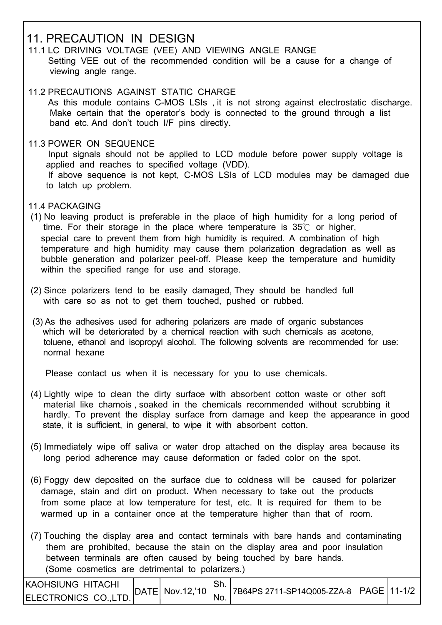### 11. PRECAUTION IN DESIGN

 11.1 LC DRIVING VOLTAGE (VEE) AND VIEWING ANGLE RANGE Setting VEE out of the recommended condition will be a cause for a change of viewing angle range.

#### 11.2 PRECAUTIONS AGAINST STATIC CHARGE As this module contains C-MOS LSIs , it is not strong against electrostatic discharge. Make certain that the operator's body is connected to the ground through a list band etc. And don't touch I/F pins directly.

- 11.3 POWER ON SEQUENCE Input signals should not be applied to LCD module before power supply voltage is applied and reaches to specified voltage (VDD). If above sequence is not kept, C-MOS LSIs of LCD modules may be damaged due to latch up problem.
- 11.4 PACKAGING
- (1) No leaving product is preferable in the place of high humidity for a long period of time. For their storage in the place where temperature is  $35^{\circ}$  or higher, special care to prevent them from high humidity is required. A combination of high temperature and high humidity may cause them polarization degradation as well as bubble generation and polarizer peel-off. Please keep the temperature and humidity within the specified range for use and storage.
- (2) Since polarizers tend to be easily damaged, They should be handled full with care so as not to get them touched, pushed or rubbed.
- (3) As the adhesives used for adhering polarizers are made of organic substances which will be deteriorated by a chemical reaction with such chemicals as acetone, toluene, ethanol and isopropyl alcohol. The following solvents are recommended for use: normal hexane

Please contact us when it is necessary for you to use chemicals.

- (4) Lightly wipe to clean the dirty surface with absorbent cotton waste or other soft material like chamois , soaked in the chemicals recommended without scrubbing it hardly. To prevent the display surface from damage and keep the appearance in good state, it is sufficient, in general, to wipe it with absorbent cotton.
- (5) Immediately wipe off saliva or water drop attached on the display area because its long period adherence may cause deformation or faded color on the spot.
- (6) Foggy dew deposited on the surface due to coldness will be caused for polarizer damage, stain and dirt on product. When necessary to take out the products from some place at low temperature for test, etc. It is required for them to be warmed up in a container once at the temperature higher than that of room.
- (7) Touching the display area and contact terminals with bare hands and contaminating them are prohibited, because the stain on the display area and poor insulation between terminals are often caused by being touched by bare hands. (Some cosmetics are detrimental to polarizers.)

| <b>IKAOHSIUNG HITACHI</b>   | DATE  Nov.12,'10 | 17B64PS 2711-SP14Q005-ZZA-8 PAGE 11-1/2 |  |
|-----------------------------|------------------|-----------------------------------------|--|
| <b>IELECTRONICS COLTD.I</b> |                  |                                         |  |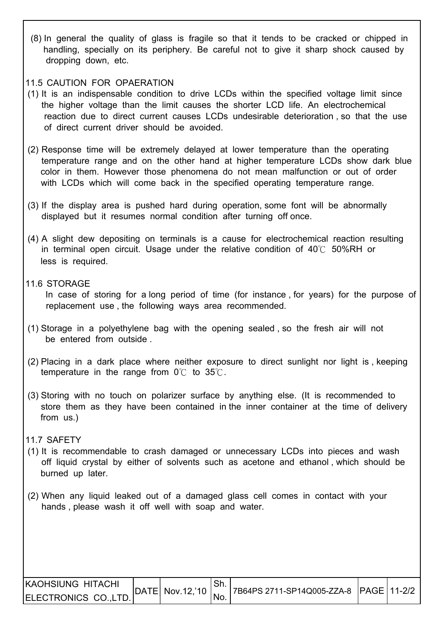(8) In general the quality of glass is fragile so that it tends to be cracked or chipped in handling, specially on its periphery. Be careful not to give it sharp shock caused by dropping down, etc.

#### 11.5 CAUTION FOR OPAERATION

- (1) It is an indispensable condition to drive LCDs within the specified voltage limit since the higher voltage than the limit causes the shorter LCD life. An electrochemical reaction due to direct current causes LCDs undesirable deterioration , so that the use of direct current driver should be avoided.
- (2) Response time will be extremely delayed at lower temperature than the operating temperature range and on the other hand at higher temperature LCDs show dark blue color in them. However those phenomena do not mean malfunction or out of order with LCDs which will come back in the specified operating temperature range.
- (3) If the display area is pushed hard during operation, some font will be abnormally displayed but it resumes normal condition after turning off once.
- (4) A slight dew depositing on terminals is a cause for electrochemical reaction resulting in terminal open circuit. Usage under the relative condition of  $40^{\circ}$  50%RH or less is required.

#### 11.6 STORAGE

 In case of storing for a long period of time (for instance , for years) for the purpose of replacement use , the following ways area recommended.

- (1) Storage in a polyethylene bag with the opening sealed , so the fresh air will not be entered from outside .
- (2) Placing in a dark place where neither exposure to direct sunlight nor light is , keeping temperature in the range from  $0^{\circ}$  to 35 $^{\circ}$ .
- (3) Storing with no touch on polarizer surface by anything else. (It is recommended to store them as they have been contained in the inner container at the time of delivery from us.)

#### 11.7 SAFETY

- (1) It is recommendable to crash damaged or unnecessary LCDs into pieces and wash off liquid crystal by either of solvents such as acetone and ethanol , which should be burned up later.
- (2) When any liquid leaked out of a damaged glass cell comes in contact with your hands , please wash it off well with soap and water.

| <b>IKAOHSIUNG HITACHI</b> |  | <sup>⊥</sup> Sh. |                                                                    |  |
|---------------------------|--|------------------|--------------------------------------------------------------------|--|
| ELECTRONICS CO.,LTD.      |  | <sup>1</sup> No. | DATE  Nov.12,'10   70   7864PS 2711-SP14Q005-ZZA-8   PAGE   11-2/2 |  |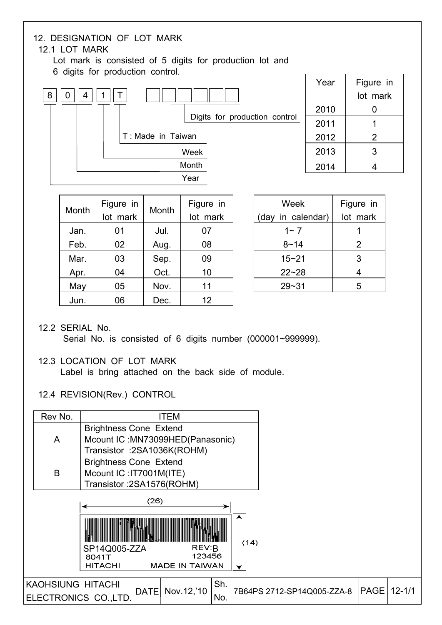### 12. DESIGNATION OF LOT MARK

#### 12.1 LOT MARK

 Lot mark is consisted of 5 digits for production lot and 6 digits for production control.



| Month | Figure in<br>lot mark | Month | Figure in<br>lot mark |
|-------|-----------------------|-------|-----------------------|
| Jan.  | 01                    | Jul.  | 07                    |
| Feb.  | 02                    | Aug.  | 08                    |
| Mar.  | 03                    | Sep.  | 09                    |
| Apr.  | 04                    | Oct.  | 10                    |
| May   | 05                    | Nov.  | 11                    |
| Jun.  | 06                    | Dec.  | 12                    |

| Week              | Figure in |
|-------------------|-----------|
| (day in calendar) | lot mark  |
| $1 - 7$           |           |
| $8 - 14$          | 2         |
| $15 - 21$         | 3         |
| $22 - 28$         | 4         |
| $29 - 31$         | ҕ         |

#### 12.2 SERIAL No.

Serial No. is consisted of 6 digits number (000001~999999).

#### 12.3 LOCATION OF LOT MARK

Label is bring attached on the back side of module.

#### 12.4 REVISION(Rev.) CONTROL

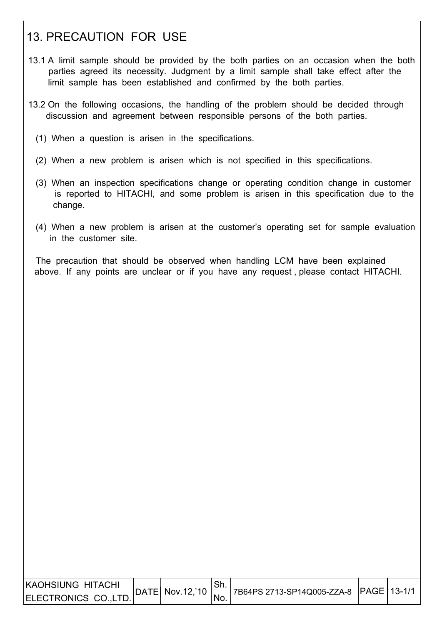# 13. PRECAUTION FOR USE

- 13.1 A limit sample should be provided by the both parties on an occasion when the both parties agreed its necessity. Judgment by a limit sample shall take effect after the limit sample has been established and confirmed by the both parties.
- 13.2 On the following occasions, the handling of the problem should be decided through discussion and agreement between responsible persons of the both parties.
	- (1) When a question is arisen in the specifications.
	- (2) When a new problem is arisen which is not specified in this specifications.
	- (3) When an inspection specifications change or operating condition change in customer is reported to HITACHI, and some problem is arisen in this specification due to the change.
	- (4) When a new problem is arisen at the customer's operating set for sample evaluation in the customer site.

 The precaution that should be observed when handling LCM have been explained above. If any points are unclear or if you have any request , please contact HITACHI.

| KAOHSIUNG HITACHI     |                            |                 |                                           |  |
|-----------------------|----------------------------|-----------------|-------------------------------------------|--|
| ELECTRONICS CO., LTD. | $ $ DATE Nov. 12, 10 $ $ . | $^{\prime}$ No. | 7B64PS 2713-SP14Q005-ZZA-8  PAGE   13-1/1 |  |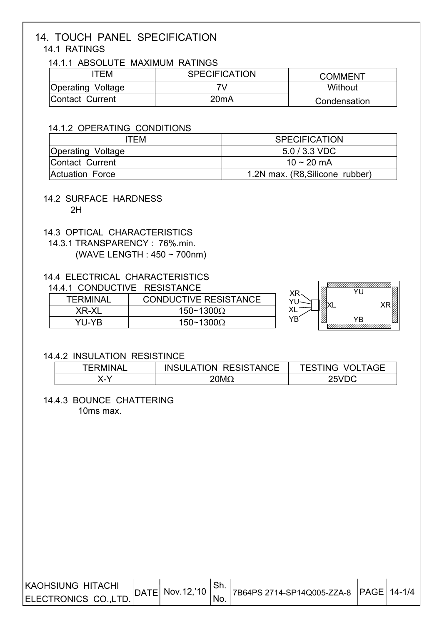# 14. TOUCH PANEL SPECIFICATION

14.1 RATINGS

#### 14.1.1 ABSOLUTE MAXIMUM RATINGS

| ITFM              | <b>SPECIFICATION</b> | <b>COMMENT</b> |
|-------------------|----------------------|----------------|
| Operating Voltage |                      | Without        |
| Contact Current   | 20 <sub>m</sub> A    | Condensation   |

#### 14.1.2 OPERATING CONDITIONS

| ITFM                                                | <b>SPECIFICATION</b>            |  |
|-----------------------------------------------------|---------------------------------|--|
| $5.0 / 3.3 \text{ VDC}$<br><b>Operating Voltage</b> |                                 |  |
| Contact Current                                     | 10 ~ 20 mA                      |  |
| Actuation Force                                     | 1.2N max. (R8, Silicone rubber) |  |

## 14.2 SURFACE HARDNESS

2H

#### 14.3 OPTICAL CHARACTERISTICS

 14.3.1 TRANSPARENCY : 76%.min. (WAVE LENGTH : 450 ~ 700nm)

#### 14.4 ELECTRICAL CHARACTERISTICS

#### 14.4.1 CONDUCTIVE RESISTANCE

|                 |                              | XR.        |    |
|-----------------|------------------------------|------------|----|
| <b>TERMINAL</b> | <b>CONDUCTIVE RESISTANCE</b> | Ø<br>\/I I | ΧR |
| XR-XI           | $150 - 1300\Omega$           | ᄮ          |    |
| YU-YB           | $150 - 1300\Omega$           | YΒ<br>Ø    | YΒ |

**Vuonna 1990 vuonna 1990**<br>Valtalainen kirjailinen kirjailinen kirjailinen kirjailinen kirjailinen kirjailinen kirjailinen kirjailinen ki

#### 14.4.2 INSULATION RESISTINCE

| 'NA.<br>TERMI. | ON RESISTANCE<br>INSUL.<br>$\mathbf{A}$ i | TING<br>TAGE |
|----------------|-------------------------------------------|--------------|
| v v            | 20M <sub>C</sub>                          | 25VDC        |

#### 14.4.3 BOUNCE CHATTERING 10ms max.

| KAOHSIUNG HITACHI    |                     |      |                                                     |  |
|----------------------|---------------------|------|-----------------------------------------------------|--|
| ELECTRONICS CO.,LTD. | $ $ DATE Nov.12,'10 | 'No. | <sup>1</sup> 7B64PS 2714-SP14Q005-ZZA-8 PAGE 14-1/4 |  |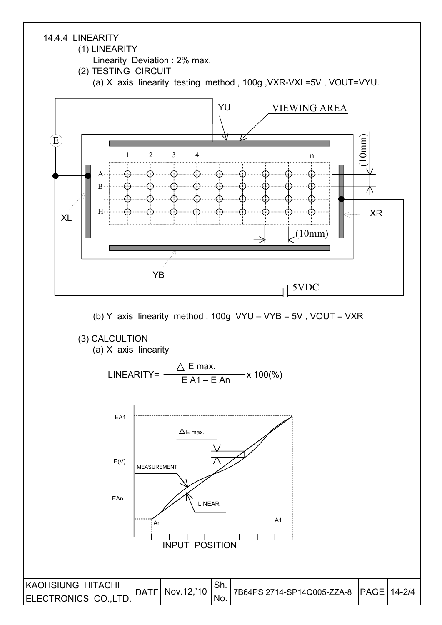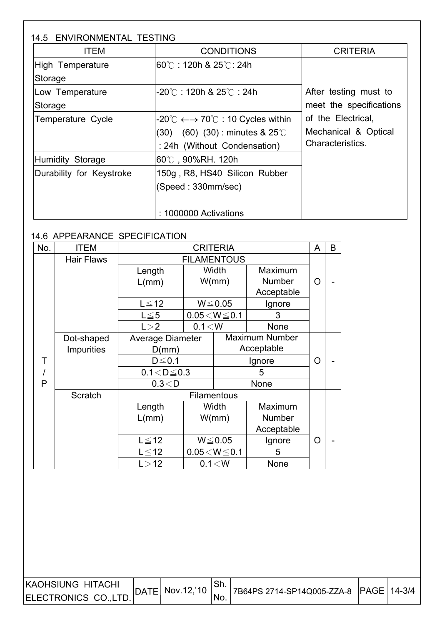| <b>ITEM</b>              | <b>CONDITIONS</b>                                                        | <b>CRITERIA</b>         |
|--------------------------|--------------------------------------------------------------------------|-------------------------|
| High Temperature         | l60℃:120h & 25℃: 24h                                                     |                         |
| Storage                  |                                                                          |                         |
| Low Temperature          | -20℃:120h & 25℃:24h                                                      | After testing must to   |
| Storage                  |                                                                          | meet the specifications |
| Temperature Cycle        | $-20^{\circ}$ C $\longleftrightarrow$ 70 $^{\circ}$ C : 10 Cycles within | of the Electrical,      |
|                          | $(30)$ $(60)$ $(30)$ : minutes & 25°C                                    | Mechanical & Optical    |
|                          | : 24h (Without Condensation)                                             | Characteristics.        |
| <b>Humidity Storage</b>  | 60℃,90%RH. 120h                                                          |                         |
| Durability for Keystroke | 150g, R8, HS40 Silicon Rubber                                            |                         |
|                          | (Speed: 330mm/sec)                                                       |                         |
|                          |                                                                          |                         |
|                          | $: 1000000$ Activations                                                  |                         |

### 14.6 APPEARANCE SPECIFICATION

| No. | <b>ITEM</b>       | <b>CRITERIA</b>    |         |                         |                       | A | B |
|-----|-------------------|--------------------|---------|-------------------------|-----------------------|---|---|
|     | <b>Hair Flaws</b> | <b>FILAMENTOUS</b> |         |                         |                       |   |   |
|     |                   | Length             | Width   |                         | Maximum               |   |   |
|     |                   | L/mm)              |         | W/mm)                   | <b>Number</b>         | O |   |
|     |                   |                    |         |                         | Acceptable            |   |   |
|     |                   | $L \leq 12$        |         | $W \le 0.05$            | Ignore                |   |   |
|     |                   | $L \leq 5$         |         | $0.05\!<\!W\!\leq\!0.1$ | 3                     |   |   |
|     |                   | L > 2              | 0.1 < W |                         | None                  |   |   |
|     | Dot-shaped        | Average Diameter   |         |                         | <b>Maximum Number</b> |   |   |
|     | <b>Impurities</b> | D(mm)              |         | Acceptable              |                       |   |   |
| Т   |                   | $D \leq 0.1$       |         |                         | Ignore                | O |   |
|     |                   | $0.1 < D \le 0.3$  |         |                         | 5                     |   |   |
| P   |                   | 0.3 < D            |         |                         | None                  |   |   |
|     | Scratch           | <b>Filamentous</b> |         |                         |                       |   |   |
|     |                   | Length             |         | Width                   | Maximum               |   |   |
|     |                   | L/mm)              |         | W/mm)                   | <b>Number</b>         |   |   |
|     |                   |                    |         |                         | Acceptable            |   |   |
|     |                   | $L \leq 12$        |         | $W \le 0.05$            | Ignore                | O |   |
|     |                   | $L \leq 12$        |         | $0.05\!<\!W\!\leq\!0.1$ | 5                     |   |   |
|     |                   | L > 12             |         | 0.1 < W                 | <b>None</b>           |   |   |

| KAOHSIUNG HITACHI    | DATE Nov.12,'10 |     |  |  |
|----------------------|-----------------|-----|--|--|
| ELECTRONICS CO.,LTD. |                 | No. |  |  |